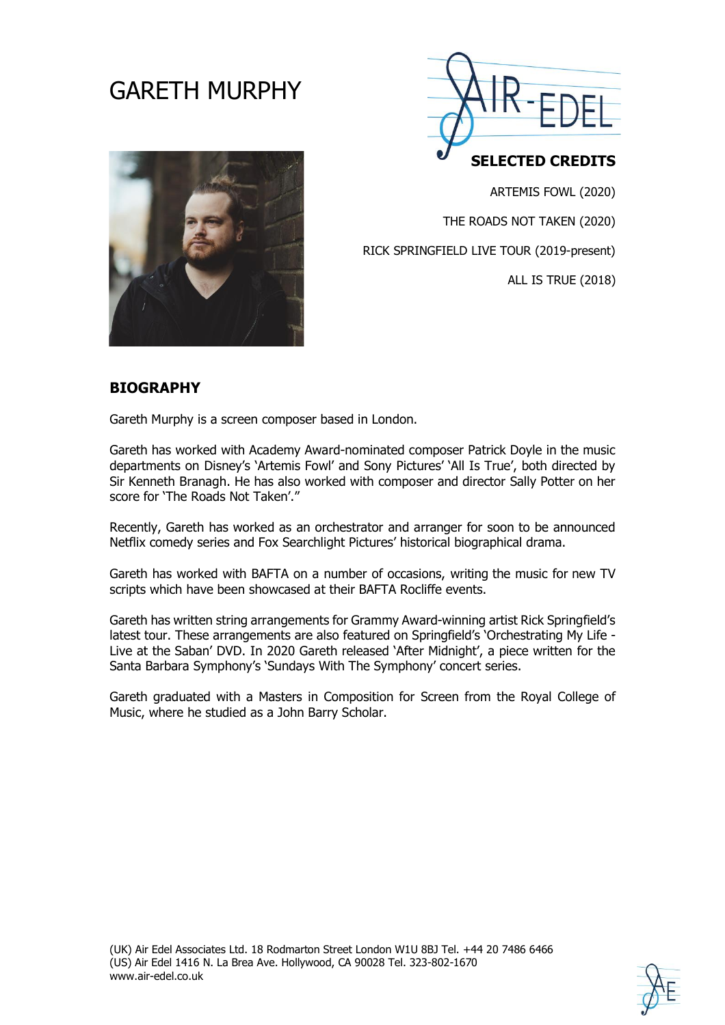# GARETH MURPHY



ARTEMIS FOWL (2020)

THE ROADS NOT TAKEN (2020)

RICK SPRINGFIELD LIVE TOUR (2019-present)

ALL IS TRUE (2018)

#### **BIOGRAPHY**

Gareth Murphy is a screen composer based in London.

Gareth has worked with Academy Award-nominated composer Patrick Doyle in the music departments on Disney's 'Artemis Fowl' and Sony Pictures' 'All Is True', both directed by Sir Kenneth Branagh. He has also worked with composer and director Sally Potter on her score for 'The Roads Not Taken'."

Recently, Gareth has worked as an orchestrator and arranger for soon to be announced Netflix comedy series and Fox Searchlight Pictures' historical biographical drama.

Gareth has worked with BAFTA on a number of occasions, writing the music for new TV scripts which have been showcased at their BAFTA Rocliffe events.

Gareth has written string arrangements for Grammy Award-winning artist Rick Springfield's latest tour. These arrangements are also featured on Springfield's 'Orchestrating My Life - Live at the Saban' DVD. In 2020 Gareth released 'After Midnight', a piece written for the Santa Barbara Symphony's 'Sundays With The Symphony' concert series.

Gareth graduated with a Masters in Composition for Screen from the Royal College of Music, where he studied as a John Barry Scholar.